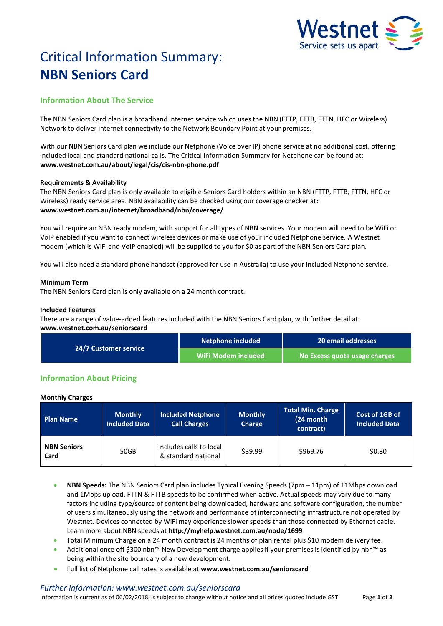

# Critical Information Summary: **NBN Seniors Card**

# **Information About The Service**

The NBN Seniors Card plan is a broadband internet service which uses the NBN (FTTP, FTTB, FTTN, HFC or Wireless) Network to deliver internet connectivity to the Network Boundary Point at your premises.

With our NBN Seniors Card plan we include our Netphone (Voice over IP) phone service at no additional cost, offering included local and standard national calls. The Critical Information Summary for Netphone can be found at: **www.westnet.com.au/about/legal/cis/cis-nbn-phone.pdf**

# **Requirements & Availability**

The NBN Seniors Card plan is only available to eligible Seniors Card holders within an NBN (FTTP, FTTB, FTTN, HFC or Wireless) ready service area. NBN availability can be checked using our coverage checker at: **www.westnet.com.au/internet/broadband/nbn/coverage/**

You will require an NBN ready modem, with support for all types of NBN services. Your modem will need to be WiFi or VoIP enabled if you want to connect wireless devices or make use of your included Netphone service. A Westnet modem (which is WiFi and VoIP enabled) will be supplied to you for \$0 as part of the NBN Seniors Card plan.

You will also need a standard phone handset (approved for use in Australia) to use your included Netphone service.

# **Minimum Term**

The NBN Seniors Card plan is only available on a 24 month contract.

## **Included Features**

There are a range of value-added features included with the NBN Seniors Card plan, with further detail at **www.westnet.com.au/seniorscard**

| <b>24/7 Customer service</b> | Netphone included   | 20 email addresses            |  |
|------------------------------|---------------------|-------------------------------|--|
|                              | WiFi Modem included | No Excess quota usage charges |  |

# **Information About Pricing**

#### **Monthly Charges**

| <b>Plan Name</b>           | <b>Monthly</b><br><b>Included Data</b> | <b>Included Netphone</b><br><b>Call Charges</b> | <b>Monthly</b><br>Charge | Total Min. Charge<br>(24 month<br>contract) | Cost of 1GB of<br><b>Included Data</b> |
|----------------------------|----------------------------------------|-------------------------------------------------|--------------------------|---------------------------------------------|----------------------------------------|
| <b>NBN Seniors</b><br>Card | 50GB                                   | Includes calls to local<br>& standard national  | \$39.99                  | \$969.76                                    | \$0.80                                 |

- **NBN Speeds:** The NBN Seniors Card plan includes Typical Evening Speeds (7pm 11pm) of 11Mbps download and 1Mbps upload. FTTN & FTTB speeds to be confirmed when active. Actual speeds may vary due to many factors including type/source of content being downloaded, hardware and software configuration, the number of users simultaneously using the network and performance of interconnecting infrastructure not operated by Westnet. Devices connected by WiFi may experience slower speeds than those connected by Ethernet cable. Learn more about NBN speeds at **http://myhelp.westnet.com.au/node/1699**
- Total Minimum Charge on a 24 month contract is 24 months of plan rental plus \$10 modem delivery fee.
- Additional once off \$300 nbn™ New Development charge applies if your premises is identified by nbn™ as being within the site boundary of a new development.
- Full list of Netphone call rates is available at **www.westnet.com.au/seniorscard**

#### *Further information: www.westnet.com.au/seniorscard*

Information is current as of 06/02/2018, is subject to change without notice and all prices quoted include GST Page **1** of **2**